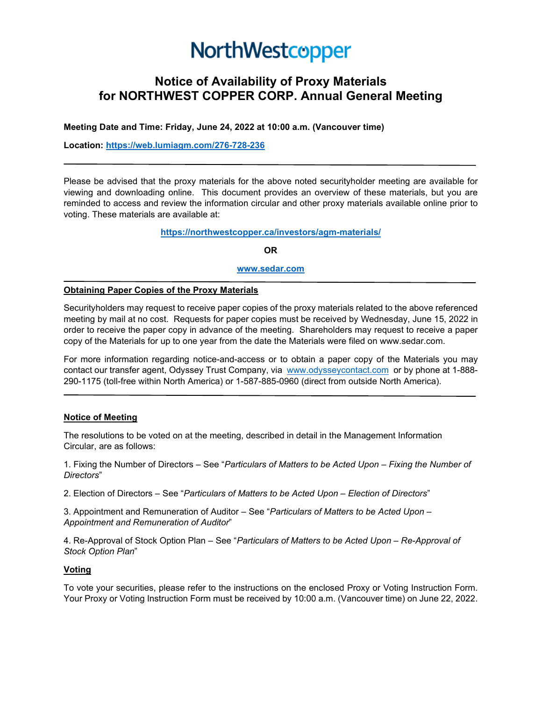# NorthWestcopper

## **Notice of Availability of Proxy Materials for NORTHWEST COPPER CORP. Annual General Meeting**

**Meeting Date and Time: Friday, June 24, 2022 at 10:00 a.m. (Vancouver time)**

**Location: [https://web.lumiagm.com/276-728-236](https://web.lumiagm.com/XXXXXXXXX)**

Please be advised that the proxy materials for the above noted securityholder meeting are available for viewing and downloading online. This document provides an overview of these materials, but you are reminded to access and review the information circular and other proxy materials available online prior to voting. These materials are available at:

**<https://northwestcopper.ca/investors/agm-materials/>**

**OR**

**[www.sedar.com](http://www.sedar.com/)**

#### **Obtaining Paper Copies of the Proxy Materials**

Securityholders may request to receive paper copies of the proxy materials related to the above referenced meeting by mail at no cost. Requests for paper copies must be received by Wednesday, June 15, 2022 in order to receive the paper copy in advance of the meeting. Shareholders may request to receive a paper copy of the Materials for up to one year from the date the Materials were filed on www.sedar.com.

For more information regarding notice-and-access or to obtain a paper copy of the Materials you may contact our transfer agent, Odyssey Trust Company, via [www.odysseycontact.com](http://www.odysseycontact.com/) or by phone at 1-888- 290-1175 (toll-free within North America) or 1-587-885-0960 (direct from outside North America).

#### **Notice of Meeting**

The resolutions to be voted on at the meeting, described in detail in the Management Information Circular, are as follows:

1. Fixing the Number of Directors – See "*Particulars of Matters to be Acted Upon – Fixing the Number of Directors*"

2. Election of Directors – See "*Particulars of Matters to be Acted Upon – Election of Directors*"

3. Appointment and Remuneration of Auditor – See "*Particulars of Matters to be Acted Upon – Appointment and Remuneration of Auditor*"

4. Re-Approval of Stock Option Plan – See "*Particulars of Matters to be Acted Upon – Re-Approval of Stock Option Plan*"

#### **Voting**

To vote your securities, please refer to the instructions on the enclosed Proxy or Voting Instruction Form. Your Proxy or Voting Instruction Form must be received by 10:00 a.m. (Vancouver time) on June 22, 2022.